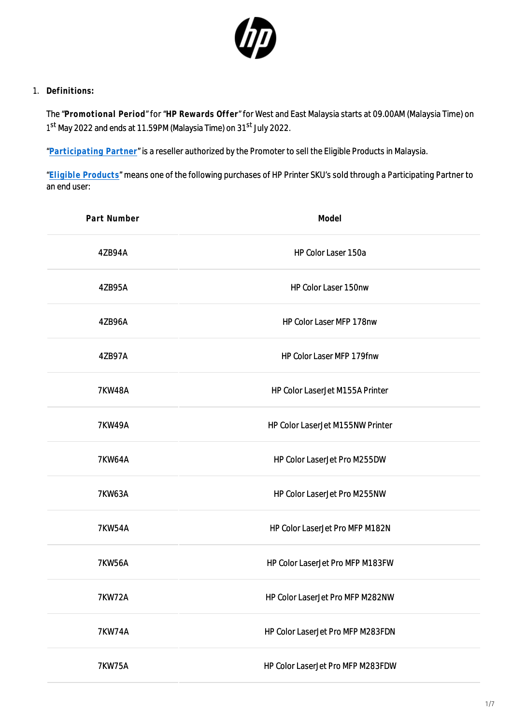

1. **Definitions:**

The "**Promotional Period**" for "**HP Rewards Offer**" for West and East Malaysia starts at 09.00AM (Malaysia Time) on 1<sup>st</sup> May 2022 and ends at 11.59PM (Malaysia Time) on 31<sup>st</sup> July 2022.

"**[Participating Partner](https://h41201.www4.hp.com/WMCF.Web/my/en/flex/16310/partnerlist/?simdate=2022-07-31&ocugid=)**" is a reseller authorized by the Promoter to sell the Eligible Products in Malaysia.

"**[Eligible Products](https://h41201.www4.hp.com/WMCF.Web/my/en/flex/16310/productinfo/?simdate=2022-07-31&ocugid=)**" means one of the following purchases of HP Printer SKU's sold through a Participating Partner to an end user:

| Part Number   | Model                             |
|---------------|-----------------------------------|
| 4ZB94A        | HP Color Laser 150a               |
| 4ZB95A        | HP Color Laser 150nw              |
| 4ZB96A        | HP Color Laser MFP 178nw          |
| 4ZB97A        | HP Color Laser MFP 179fnw         |
| <b>7KW48A</b> | HP Color LaserJet M155A Printer   |
| <b>7KW49A</b> | HP Color LaserJet M155NW Printer  |
| <b>7KW64A</b> | HP Color LaserJet Pro M255DW      |
| <b>7KW63A</b> | HP Color LaserJet Pro M255NW      |
| <b>7KW54A</b> | HP Color LaserJet Pro MFP M182N   |
| <b>7KW56A</b> | HP Color LaserJet Pro MFP M183FW  |
| <b>7KW72A</b> | HP Color LaserJet Pro MFP M282NW  |
| <b>7KW74A</b> | HP Color LaserJet Pro MFP M283FDN |
| <b>7KW75A</b> | HP Color LaserJet Pro MFP M283FDW |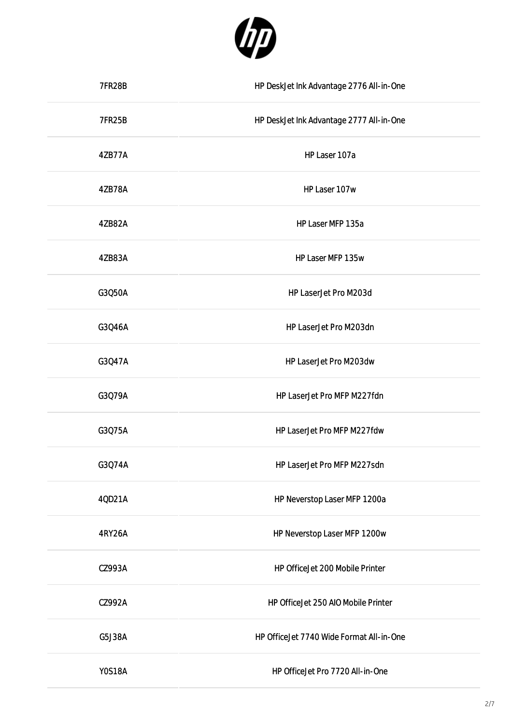

| <b>7FR28B</b> | HP DeskJet Ink Advantage 2776 All-in-One |
|---------------|------------------------------------------|
| <b>7FR25B</b> | HP DeskJet Ink Advantage 2777 All-in-One |
| 4ZB77A        | HP Laser 107a                            |
| 4ZB78A        | HP Laser 107w                            |
| 4ZB82A        | HP Laser MFP 135a                        |
| 4ZB83A        | HP Laser MFP 135w                        |
| G3Q50A        | HP LaserJet Pro M203d                    |
| G3Q46A        | HP LaserJet Pro M203dn                   |
| G3Q47A        | HP LaserJet Pro M203dw                   |
| G3Q79A        | HP LaserJet Pro MFP M227fdn              |
| G3Q75A        | HP LaserJet Pro MFP M227fdw              |
| G3Q74A        | HP LaserJet Pro MFP M227sdn              |
| 40D21A        | HP Neverstop Laser MFP 1200a             |
| 4RY26A        | HP Neverstop Laser MFP 1200w             |
| CZ993A        | HP OfficeJet 200 Mobile Printer          |
| CZ992A        | HP OfficeJet 250 AIO Mobile Printer      |
| G5J38A        | HP OfficeJet 7740 Wide Format All-in-One |
| <b>YOS18A</b> | HP OfficeJet Pro 7720 All-in-One         |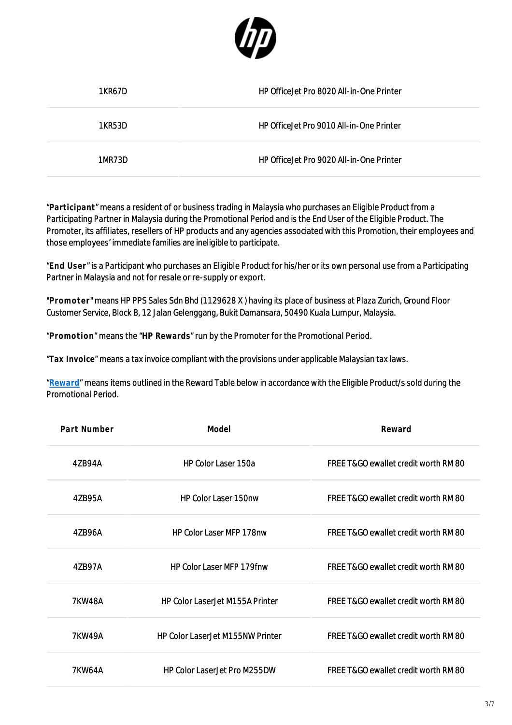

| 1KR67D | HP Office Jet Pro 8020 All-in-One Printer |
|--------|-------------------------------------------|
| 1KR53D | HP Office let Pro 9010 All-in-One Printer |
| 1MR73D | HP Office let Pro 9020 All-in-One Printer |

"**Participant**" means a resident of or business trading in Malaysia who purchases an Eligible Product from a Participating Partner in Malaysia during the Promotional Period and is the End User of the Eligible Product. The Promoter, its affiliates, resellers of HP products and any agencies associated with this Promotion, their employees and those employees' immediate families are ineligible to participate.

"**End User**" is a Participant who purchases an Eligible Product for his/her or its own personal use from a Participating Partner in Malaysia and not for resale or re-supply or export.

"**Promoter**" means HP PPS Sales Sdn Bhd (1129628 X ) having its place of business at Plaza Zurich, Ground Floor Customer Service, Block B, 12 Jalan Gelenggang, Bukit Damansara, 50490 Kuala Lumpur, Malaysia.

"**Promotion**" means the "**HP Rewards**" run by the Promoter for the Promotional Period.

"**Tax Invoice**" means a tax invoice compliant with the provisions under applicable Malaysian tax laws.

"**[Reward](https://h41201.www4.hp.com/WMCF.Web/my/en/flex/16310/productinfo/?simdate=2022-07-31&ocugid=)**" means items outlined in the Reward Table below in accordance with the Eligible Product/s sold during the Promotional Period.

| Part Number   | Model                                   | Reward                               |
|---------------|-----------------------------------------|--------------------------------------|
| 4ZB94A        | <b>HP Color Laser 150a</b>              | FREE T&GO ewallet credit worth RM 80 |
| 4ZB95A        | HP Color Laser 150nw                    | FREE T&GO ewallet credit worth RM 80 |
| 47B96A        | <b>HP Color Laser MFP 178nw</b>         | FREE T&GO ewallet credit worth RM 80 |
| 47B97A        | <b>HP Color Laser MFP 179fnw</b>        | FREE T&GO ewallet credit worth RM 80 |
| <b>7KW48A</b> | <b>HP Color LaserJet M155A Printer</b>  | FREE T&GO ewallet credit worth RM 80 |
| <b>7KW49A</b> | <b>HP Color LaserJet M155NW Printer</b> | FREE T&GO ewallet credit worth RM 80 |
| 7KW64A        | <b>HP Color LaserJet Pro M255DW</b>     | FREE T&GO ewallet credit worth RM 80 |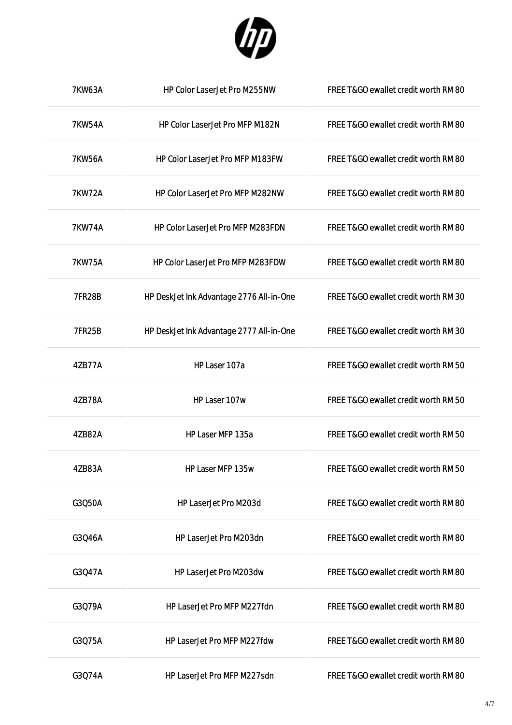

| <b>7KW63A</b> | HP Color LaserJet Pro M255NW             | FREE T&GO ewallet credit worth RM 80 |
|---------------|------------------------------------------|--------------------------------------|
| <b>7KW54A</b> | HP Color LaserJet Pro MFP M182N          | FREE T&GO ewallet credit worth RM 80 |
| <b>7KW56A</b> | HP Color LaserJet Pro MFP M183FW         | FREE T&GO ewallet credit worth RM 80 |
| <b>7KW72A</b> | HP Color LaserJet Pro MFP M282NW         | FREE T&GO ewallet credit worth RM 80 |
| <b>7KW74A</b> | HP Color LaserJet Pro MFP M283FDN        | FREE T&GO ewallet credit worth RM 80 |
| <b>7KW75A</b> | HP Color LaserJet Pro MFP M283FDW        | FREE T&GO ewallet credit worth RM 80 |
| <b>7FR28B</b> | HP DeskJet Ink Advantage 2776 All-in-One | FREE T&GO ewallet credit worth RM 30 |
| <b>7FR25B</b> | HP DeskJet Ink Advantage 2777 All-in-One | FREE T&GO ewallet credit worth RM 30 |
| 4ZB77A        | HP Laser 107a                            | FREE T&GO ewallet credit worth RM 50 |
| 4ZB78A        | HP Laser 107w                            | FREE T&GO ewallet credit worth RM 50 |
| 4ZB82A        | HP Laser MFP 135a                        | FREE T&GO ewallet credit worth RM 50 |
| 4ZB83A        | HP Laser MFP 135w                        | FREE T&GO ewallet credit worth RM 50 |
| G3Q50A        | HP LaserJet Pro M203d                    | FREE T&GO ewallet credit worth RM 80 |
| G3Q46A        | HP LaserJet Pro M203dn                   | FREE T&GO ewallet credit worth RM 80 |
| G3Q47A        | HP LaserJet Pro M203dw                   | FREE T&GO ewallet credit worth RM 80 |
| G3Q79A        | HP LaserJet Pro MFP M227fdn              | FREE T&GO ewallet credit worth RM 80 |
| G3Q75A        | HP LaserJet Pro MFP M227fdw              | FREE T&GO ewallet credit worth RM 80 |
| G3Q74A        | HP LaserJet Pro MFP M227sdn              | FREE T&GO ewallet credit worth RM 80 |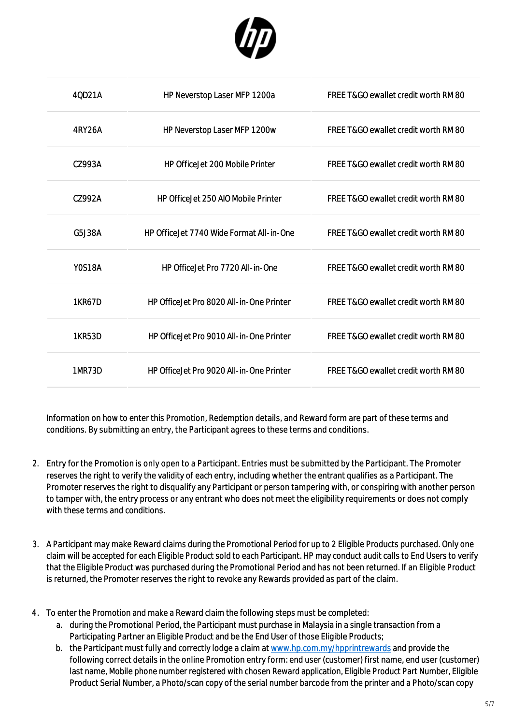

| 40D21A        | HP Neverstop Laser MFP 1200a               | FREE T&GO ewallet credit worth RM 80            |
|---------------|--------------------------------------------|-------------------------------------------------|
| 4RY26A        | HP Neverstop Laser MFP 1200w               | FREE T&GO ewallet credit worth RM 80            |
| CZ993A        | <b>HP OfficeJet 200 Mobile Printer</b>     | FREE T&GO ewallet credit worth RM 80            |
| CZ992A        | <b>HP OfficeJet 250 AIO Mobile Printer</b> | <b>FREE T&amp;GO ewallet credit worth RM 80</b> |
| G5J38A        | HP OfficeJet 7740 Wide Format All-in-One   | FREE T&GO ewallet credit worth RM 80            |
| <b>Y0S18A</b> | HP Office let Pro 7720 All-in-One          | <b>FREE T&amp;GO ewallet credit worth RM 80</b> |
| <b>1KR67D</b> | HP Office let Pro 8020 All-in-One Printer  | <b>FREE T&amp;GO ewallet credit worth RM 80</b> |
| 1KR53D        | HP OfficeJet Pro 9010 All-in-One Printer   | FREE T&GO ewallet credit worth RM 80            |
| 1MR73D        | HP Office let Pro 9020 All-in-One Printer  | <b>FREE T&amp;GO ewallet credit worth RM 80</b> |

Information on how to enter this Promotion, Redemption details, and Reward form are part of these terms and conditions. By submitting an entry, the Participant agrees to these terms and conditions.

- 2. Entry for the Promotion is only open to a Participant. Entries must be submitted by the Participant. The Promoter reserves the right to verify the validity of each entry, including whether the entrant qualifies as a Participant. The Promoter reserves the right to disqualify any Participant or person tampering with, or conspiring with another person to tamper with, the entry process or any entrant who does not meet the eligibility requirements or does not comply with these terms and conditions.
- 3. A Participant may make Reward claims during the Promotional Period for up to 2 Eligible Products purchased. Only one claim will be accepted for each Eligible Product sold to each Participant. HP may conduct audit calls to End Users to verify that the Eligible Product was purchased during the Promotional Period and has not been returned. If an Eligible Product is returned, the Promoter reserves the right to revoke any Rewards provided as part of the claim.
- 4. To enter the Promotion and make a Reward claim the following steps must be completed:
	- a. during the Promotional Period, the Participant must purchase in Malaysia in a single transaction from a Participating Partner an Eligible Product and be the End User of those Eligible Products;
	- b. the Participant must fully and correctly lodge a claim at [www.hp.com.my/hpprintrewards](http://www.hp.com.my/hpprintrewards) and provide the following correct details in the online Promotion entry form: end user (customer) first name, end user (customer) last name, Mobile phone number registered with chosen Reward application, Eligible Product Part Number, Eligible Product Serial Number, a Photo/scan copy of the serial number barcode from the printer and a Photo/scan copy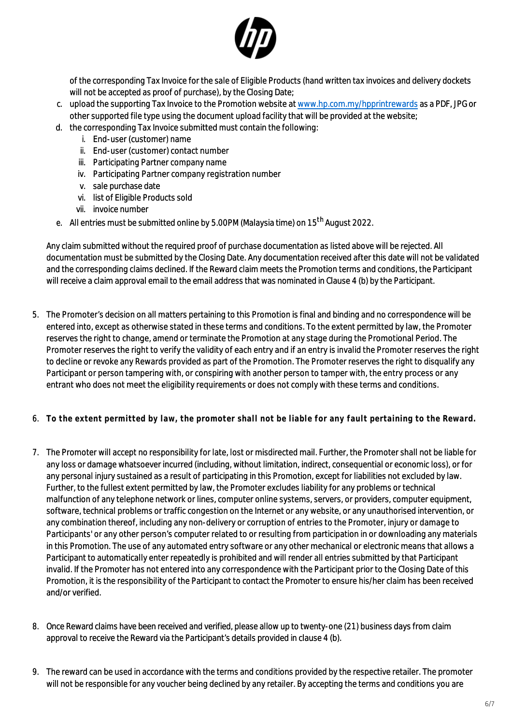

of the corresponding Tax Invoice for the sale of Eligible Products (hand written tax invoices and delivery dockets will not be accepted as proof of purchase), by the Closing Date;

- c. upload the supporting Tax Invoice to the Promotion website at [www.hp.com.my/hpprintrewards](http://www.hp.com.my/hpprintrewards) as a PDF, JPG or other supported file type using the document upload facility that will be provided at the website;
- d. the corresponding Tax Invoice submitted must contain the following:
	- i. End-user (customer) name
	- ii. End-user (customer) contact number
	- iii. Participating Partner company name
	- iv. Participating Partner company registration number
	- v. sale purchase date
	- vi. list of Eligible Products sold
	- vii. invoice number
- e. All entries must be submitted online by 5.00PM (Malaysia time) on 15th August 2022.

Any claim submitted without the required proof of purchase documentation as listed above will be rejected. All documentation must be submitted by the Closing Date. Any documentation received after this date will not be validated and the corresponding claims declined. If the Reward claim meets the Promotion terms and conditions, the Participant will receive a claim approval email to the email address that was nominated in Clause 4 (b) by the Participant.

- 5. The Promoter's decision on all matters pertaining to this Promotion is final and binding and no correspondence will be entered into, except as otherwise stated in these terms and conditions. To the extent permitted by law, the Promoter reserves the right to change, amend or terminate the Promotion at any stage during the Promotional Period. The Promoter reserves the right to verify the validity of each entry and if an entry is invalid the Promoter reserves the right to decline or revoke any Rewards provided as part of the Promotion. The Promoter reserves the right to disqualify any Participant or person tampering with, or conspiring with another person to tamper with, the entry process or any entrant who does not meet the eligibility requirements or does not comply with these terms and conditions.
- 6. **To the extent permitted by law, the promoter shall not be liable for any fault pertaining to the Reward.**
- 7. The Promoter will accept no responsibility for late, lost or misdirected mail. Further, the Promoter shall not be liable for any loss or damage whatsoever incurred (including, without limitation, indirect, consequential or economic loss), or for any personal injury sustained as a result of participating in this Promotion, except for liabilities not excluded by law. Further, to the fullest extent permitted by law, the Promoter excludes liability for any problems or technical malfunction of any telephone network or lines, computer online systems, servers, or providers, computer equipment, software, technical problems or traffic congestion on the Internet or any website, or any unauthorised intervention, or any combination thereof, including any non-delivery or corruption of entries to the Promoter, injury or damage to Participants' or any other person's computer related to or resulting from participation in or downloading any materials in this Promotion. The use of any automated entry software or any other mechanical or electronic means that allows a Participant to automatically enter repeatedly is prohibited and will render all entries submitted by that Participant invalid. If the Promoter has not entered into any correspondence with the Participant prior to the Closing Date of this Promotion, it is the responsibility of the Participant to contact the Promoter to ensure his/her claim has been received and/or verified.
- 8. Once Reward claims have been received and verified, please allow up to twenty-one (21) business days from claim approval to receive the Reward via the Participant's details provided in clause 4 (b).
- 9. The reward can be used in accordance with the terms and conditions provided by the respective retailer. The promoter will not be responsible for any voucher being declined by any retailer. By accepting the terms and conditions you are